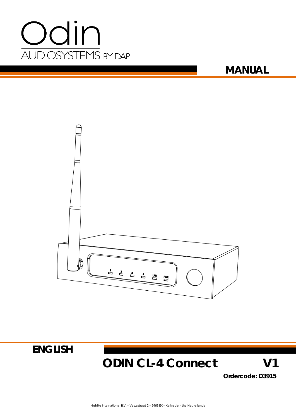

**MANUAL**



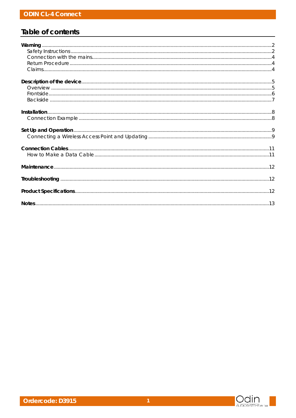# Table of contents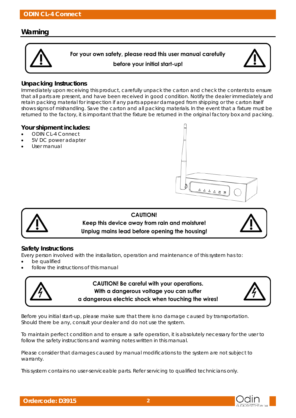## <span id="page-2-0"></span>**Warning**



For your own safety, please read this user manual carefully before your initial start-up!



## **Unpacking Instructions**

Immediately upon receiving this product, carefully unpack the carton and check the contents to ensure that all parts are present, and have been received in good condition. Notify the dealer immediately and retain packing material for inspection if any parts appear damaged from shipping or the carton itself shows signs of mishandling. Save the carton and all packing materials. In the event that a fixture must be returned to the factory, it is important that the fixture be returned in the original factory box and packing.

## **Your shipment includes:**

- ODIN CL-4 Connect
- 5V DC power adapter
- User manual





## **CAUTION!** Keep this device away from rain and moisture! Unplug mains lead before opening the housing!



## <span id="page-2-1"></span>**Safety Instructions**

Every person involved with the installation, operation and maintenance of this system has to:

- be qualified
- follow the instructions of this manual



**CAUTION! Be careful with your operations.** With a dangerous voltage you can suffer a dangerous electric shock when touching the wires!



Before you initial start-up, please make sure that there is no damage caused by transportation. Should there be any, consult your dealer and do not use the system.

To maintain perfect condition and to ensure a safe operation, it is absolutely necessary for the user to follow the safety instructions and warning notes written in this manual.

Please consider that damages caused by manual modifications to the system are not subject to warranty.

This system contains no user-serviceable parts. Refer servicing to qualified technicians only.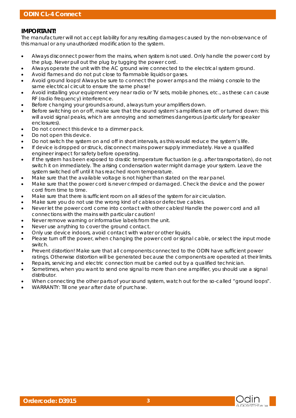### **IMPORTANT!**

The manufacturer will not accept liability for any resulting damages caused by the non-observance of this manual or any unauthorized modification to the system.

- Always disconnect power from the mains, when system is not used. Only handle the power cord by the plug. Never pull out the plug by tugging the power cord.
- Always operate the unit with the AC ground wire connected to the electrical system ground.
- Avoid flames and do not put close to flammable liquids or gases.
- Avoid ground loops! Always be sure to connect the power amps and the mixing console to the same electrical circuit to ensure the same phase!
- Avoid installing your equipment very near radio or TV sets, mobile phones, etc., as these can cause RF (radio frequency) interference.
- Before changing your grounds around, always turn your amplifiers down.
- Before switching on or off, make sure that the sound system's amplifiers are off or turned down: this will avoid signal peaks, which are annoying and sometimes dangerous (particularly for speaker enclosures).
- Do not connect this device to a dimmer pack.
- Do not open this device.
- Do not switch the system on and off in short intervals, as this would reduce the system's life.
- If device is dropped or struck, disconnect mains power supply immediately. Have a qualified engineer inspect for safety before operating.
- If the system has been exposed to drastic temperature fluctuation (e.g. after transportation), do not switch it on immediately. The arising condensation water might damage your system. Leave the system switched off until it has reached room temperature.
- Make sure that the available voltage is not higher than stated on the rear panel.
- Make sure that the power cord is never crimped or damaged. Check the device and the power cord from time to time.
- Make sure that there is sufficient room on all sides of the system for air circulation.
- Make sure you do not use the wrong kind of cables or defective cables.
- Never let the power cord come into contact with other cables! Handle the power cord and all connections with the mains with particular caution!
- Never remove warning or informative labels from the unit.
- Never use anything to cover the ground contact.
- Only use device indoors, avoid contact with water or other liquids.
- Please turn off the power, when changing the power cord or signal cable, or select the input mode switch.
- Prevent distortion! Make sure that all components connected to the ODIN have sufficient power ratings. Otherwise distortion will be generated because the components are operated at their limits.
- Repairs, servicing and electric connection must be carried out by a qualified technician.
- Sometimes, when you want to send one signal to more than one amplifier, you should use a signal distributor.
- When connecting the other parts of your sound system, watch out for the so-called "ground loops".
- WARRANTY: Till one year after date of purchase.

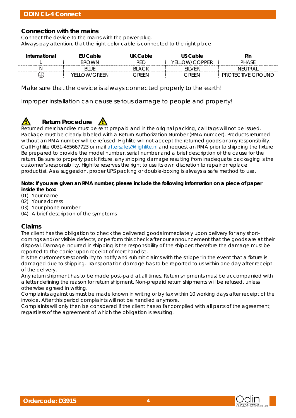### <span id="page-4-0"></span>**Connection with the mains**

Connect the device to the mains with the power-plug.

Always pay attention, that the right color cable is connected to the right place.

| International | EU Cable.    | ∵able:<br>l ik | US Cable       | Pir                      |
|---------------|--------------|----------------|----------------|--------------------------|
|               | <b>BROWN</b> | RF             | つDDE<br>11/111 | <b>PHASE</b>             |
|               |              | -RI ACK        | SI.            |                          |
| ⋐             | 1997 GREEN   | RFF N          |                | GROUND<br>odc<br>`TIVE ( |

*Make sure that the device is always connected properly to the earth!*

*Improper installation can cause serious damage to people and property!*



<span id="page-4-1"></span>**Return Procedure**

Returned merchandise must be sent prepaid and in the original packing, call tags will not be issued. Package must be clearly labeled with a Return Authorization Number (RMA number). Products returned without an RMA number will be refused. Highlite will not accept the returned goods or any responsibility. Call Highlite 0031-455667723 or mail [aftersales@highlite.nl](mailto:aftersales@highlite.nl) and request an RMA prior to shipping the fixture. Be prepared to provide the model number, serial number and a brief description of the cause for the return. Be sure to properly pack fixture, any shipping damage resulting from inadequate packaging is the customer's responsibility. Highlite reserves the right to use its own discretion to repair or replace product(s). As a suggestion, proper UPS packing or double-boxing is always a safe method to use.

### **Note: If you are given an RMA number, please include the following information on a piece of paper inside the box:**

- 01) Your name
- 02) Your address
- 03) Your phone number
- 04) A brief description of the symptoms

## <span id="page-4-2"></span>**Claims**

The client has the obligation to check the delivered goods immediately upon delivery for any shortcomings and/or visible defects, or perform this check after our announcement that the goods are at their disposal. Damage incurred in shipping is the responsibility of the shipper; therefore the damage must be reported to the carrier upon receipt of merchandise.

It is the customer's responsibility to notify and submit claims with the shipper in the event that a fixture is damaged due to shipping. Transportation damage has to be reported to us within one day after receipt of the delivery.

Any return shipment has to be made post-paid at all times. Return shipments must be accompanied with a letter defining the reason for return shipment. Non-prepaid return shipments will be refused, unless otherwise agreed in writing.

Complaints against us must be made known in writing or by fax within 10 working days after receipt of the invoice. After this period complaints will not be handled anymore.

Complaints will only then be considered if the client has so far complied with all parts of the agreement, regardless of the agreement of which the obligation is resulting.

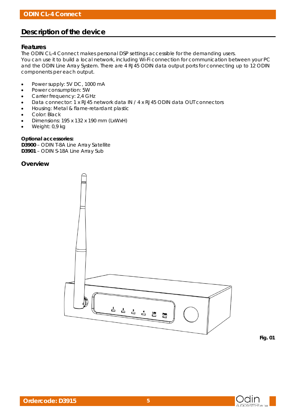## <span id="page-5-0"></span>**Description of the device**

### **Features**

The ODIN CL-4 Connect makes personal DSP settings accessible for the demanding users.

You can use it to build a local network, including Wi-Fi connection for communication between your PC and the ODIN Line Array System. There are 4 RJ45 ODIN data output ports for connecting up to 12 ODIN components per each output.

- Power supply: 5V DC, 1000 mA
- Power consumption: 5W
- Carrier frequency: 2,4 GHz
- Data connector: 1 x RJ45 network data IN / 4 x RJ45 ODIN data OUT connectors
- Housing: Metal & flame-retardant plastic
- Color: Black
- Dimensions: 195 x 132 x 190 mm (LxWxH)
- Weight: 0,9 kg

### **Optional accessories:**

**[D3900](http://www.highlite.nl/Shop/Products/Audio/Speakers/Active-Series/ODIN-T-8A)** – ODIN T-8A Line Array Satellite **[D3901](http://www.highlite.nl/Shop/Products/Audio/Speakers/Active-Series/ODIN-S-18A)** – ODIN S-18A Line Array Sub

### <span id="page-5-1"></span>**Overview**



**Fig. 01**

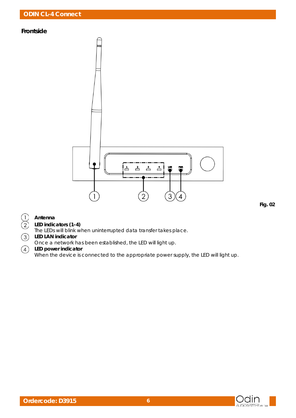## <span id="page-6-0"></span>**Frontside**



**Fig. 02**

#### **Antenna**  $\mathbf{1}$

 $\sqrt{2}$ 

**LED indicators (1-4)**

The LEDs will blink when uninterrupted data transfer takes place.

#### $\overline{3}$ **LED LAN indicator**

Once a network has been established, the LED will light up.

#### **LED power indicator**  $(4)$

When the device is connected to the appropriate power supply, the LED will light up.

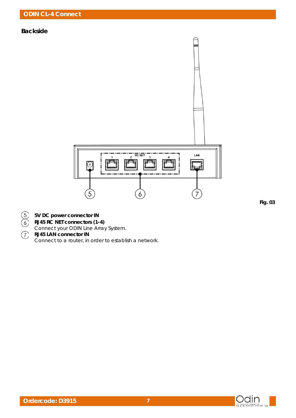

<span id="page-7-0"></span>**Backside**



**Fig. 03**

 $\frac{5}{6}$ **5V DC power connector IN**

**RJ45 RC NET connectors (1-4)**

Connect your ODIN Line Array System.

**RJ45 LAN connector IN**

Connect to a router, in order to establish a network.

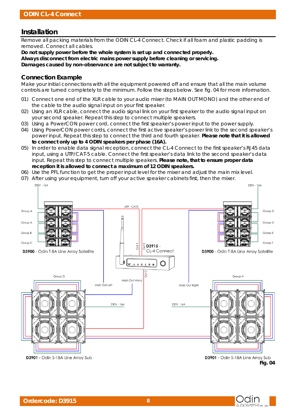## <span id="page-8-0"></span>**Installation**

Remove all packing materials from the ODIN CL-4 Connect. Check if all foam and plastic padding is removed. Connect all cables.

**Do not supply power before the whole system is set up and connected properly. Always disconnect from electric mains power supply before cleaning or servicing. Damages caused by non-observance are not subject to warranty.**

### <span id="page-8-1"></span>**Connection Example**

Make your initial connections with all the equipment powered off and ensure that all the main volume controls are turned completely to the minimum. Follow the steps below. See fig. 04 for more information.

- 01) Connect one end of the XLR cable to your audio mixer (to MAIN OUT MONO) and the other end of the cable to the audio signal input on your first speaker.
- 02) Using an XLR cable, connect the audio signal link on your first speaker to the audio signal input on your second speaker. Repeat this step to connect multiple speakers.
- 03) Using a PowerCON power cord, connect the first speaker's power input to the power supply.
- 04) Using PowerCON power cords, connect the first active speaker's power link to the second speaker's power input. Repeat this step to connect the third and fourth speaker. **Please note that it is allowed to connect only up to 4 ODIN speakers per phase (16A).**
- 05) In order to enable data signal reception, connect the CL-4 Connect to the first speaker's RJ45 data input, using a UTP/CAT-5 cable. Connect the first speaker's data link to the second speaker's data input. Repeat this step to connect multiple speakers. **Please note, that to ensure proper data reception it is allowed to connect a maximum of 12 ODIN speakers.**
- 06) Use the PFL function to get the proper input level for the mixer and adjust the main mix level.
- 07) After using your equipment, turn off your active speaker cabinets first, then the mixer.



**Fig. 04**

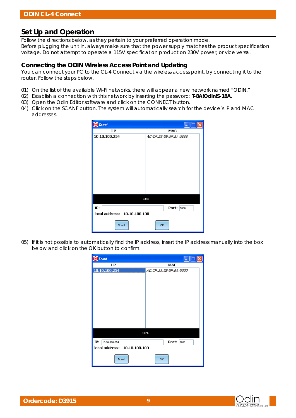## <span id="page-9-0"></span>**Set Up and Operation**

Follow the directions below, as they pertain to your preferred operation mode.

Before plugging the unit in, always make sure that the power supply matches the product specification voltage. Do not attempt to operate a 115V specification product on 230V power, or vice versa.

### <span id="page-9-1"></span>**Connecting the ODIN Wireless Access Point and Updating**

You can connect your PC to the CL-4 Connect via the wireless access point, by connecting it to the router. Follow the steps below.

- 01) On the list of the available Wi-Fi networks, there will appear a new network named "ODIN."
- 02) Establish a connection with this network by inserting the password: **T-8A!Odin!S-18A**.
- 03) Open the Odin Editor software and click on the CONNECT button.
- 04) Click on the SCANF button. The system will automatically search for the device's IP and MAC addresses.

| <b>Excant</b>                |                        |
|------------------------------|------------------------|
| I P                          | MAC                    |
| 10.10.100.254                | AC:CF:23:5E:5F:BA:5000 |
|                              |                        |
|                              |                        |
|                              |                        |
|                              |                        |
|                              |                        |
|                              |                        |
|                              |                        |
|                              |                        |
|                              |                        |
|                              | 100%                   |
| IP:                          | Port:<br>5000          |
| local address: 10.10.100.100 |                        |
| Scanf                        | ОK                     |
|                              |                        |

05) If it is not possible to automatically find the IP address, insert the IP address manually into the box below and click on the OK button to confirm.

| Scanf                        |                        |
|------------------------------|------------------------|
| ΙP                           | MAC                    |
| 10.10.100.254                | AC:CF:23:5E:5F:BA:5000 |
|                              |                        |
|                              |                        |
|                              |                        |
|                              |                        |
|                              |                        |
|                              |                        |
|                              |                        |
|                              |                        |
|                              |                        |
|                              |                        |
|                              | 100%                   |
| IP:<br>10.10.100.254         | Port:<br>5000          |
| local address: 10.10.100.100 |                        |
|                              |                        |
| Scanf                        | ОK                     |

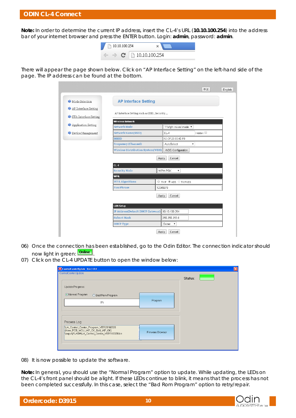**Note:** In order to determine the current IP address, insert the CL-4's URL (**10.10.100.254**) into the address bar of your internet browser and press the ENTER button. Login: **admin**, password: **admin**.

| 10.10.100.254 |  |               |  |
|---------------|--|---------------|--|
|               |  | 10.10.100.254 |  |

There will appear the page shown below. Click on "AP Interface Setting" on the left-hand side of the page. The IP address can be found at the bottom.

|                                               |                                             |       |                                  | 中文               | English |
|-----------------------------------------------|---------------------------------------------|-------|----------------------------------|------------------|---------|
| Mode Selection                                | <b>AP Interface Setting</b>                 |       |                                  |                  |         |
| AP Interface Setting<br>STA Interface Setting | AP Interface Setting such as SSID, Security |       |                                  |                  |         |
|                                               | <b>Wireless Network</b>                     |       |                                  |                  |         |
| Application Setting                           | Network Mode                                |       | 11b/g/n mixed mode ▼             |                  |         |
| Device Management                             | Network Name(SSID)                          |       | CL-4                             | Hidden $\square$ |         |
|                                               | <b>BSSID</b>                                |       | AC:CF:23:90:4D:F0                |                  |         |
|                                               | <b>Frequency (Channel)</b>                  |       | AutoSelect<br>$\pmb{\mathrm{v}}$ |                  |         |
|                                               | Wireless Distribution System(WDS)           |       | <b>WDS Configuration</b>         |                  |         |
|                                               | $CL-4$                                      | Apply | Cancel                           |                  |         |
|                                               | <b>Security Mode</b>                        |       | WPA-PSK<br>۷.                    |                  |         |
|                                               | <b>WPA</b>                                  |       |                                  |                  |         |
|                                               | <b>WPA Algorithms</b>                       |       | O TKIP @ AES O TKIPAES           |                  |         |
|                                               | <b>Pass Phrase</b>                          |       | 12345678                         |                  |         |
|                                               |                                             | Apply | Cancel                           |                  |         |
|                                               | <b>LAN Setup</b>                            |       |                                  |                  |         |
|                                               | IP Address(Default DHCP Gateway)            |       | 10.10.100.254                    |                  |         |
|                                               | <b>Subnet Mask</b><br><b>DHCP Type</b>      |       | 255.255.255.0<br>Server <b>v</b> |                  |         |
|                                               |                                             |       |                                  |                  |         |

- 06) Once the connection has been established, go to the Odin Editor. The connection indicator should now light in green: **Online**
- 07) Click on the CL-4 UPDATE button to open the window below:

| ControlCenterUpdate Ver 1.0.0                                                                                                                  | ×       |
|------------------------------------------------------------------------------------------------------------------------------------------------|---------|
| ControlCenterUpdate                                                                                                                            |         |
|                                                                                                                                                | Status: |
| Update Progress:                                                                                                                               |         |
| ⊙ Normal Program<br>○ Bad Rom Program                                                                                                          |         |
| Program<br>$0\%$                                                                                                                               |         |
|                                                                                                                                                |         |
| Process Log:                                                                                                                                   |         |
| \LA_Control_Center_Program_VER20160326<br>(New_PCB_MCU_IAP_OK_Self_IAP_OK)<br>Firmware Browser<br>\ouput\FLASH\LA_Control_Center_VER160328.bin |         |
|                                                                                                                                                |         |

08) It is now possible to update the software.

**Note:** In general, you should use the "Normal Program" option to update. While updating, the LEDs on the CL-4's front panel should be alight. If these LEDs continue to blink, it means that the process has not been completed successfully. In this case, select the "Bad Rom Program" option to retry/repair.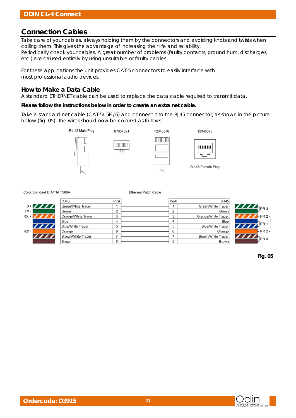## <span id="page-11-0"></span>**Connection Cables**

Take care of your cables, always holding them by the connectors and avoiding knots and twists when coiling them: This gives the advantage of increasing their life and reliability.

Periodically check your cables. A great number of problems (faulty contacts, ground hum, discharges, etc.) are caused entirely by using unsuitable or faulty cables.

For these applications the unit provides CAT-5 connectors to easily interface with most professional audio devices.

### <span id="page-11-1"></span>**How to Make a Data Cable**

A standard ETHERNET cable can be used to replace the data cable required to transmit data.

### **Please follow the instructions below in order to create an extra net cable.**

Take a standard net cable (CAT-5/ 5E /6) and connect it to the RJ45 connector, as shown in the picture below (fig. 05). The wires should now be colored as follows:









RJ-45 Female Plug

Color Standard EIA/TIA T568A



| <b>RJ45</b>               | Pin# | Pin# | <b>RJ45</b>               |
|---------------------------|------|------|---------------------------|
| Green/White Tracer        |      |      | Green/White Tracer        |
| Green                     | າ    | ◠    | Green                     |
| Orange/White Tracer       | 3    | 3    | Orange/White Tracer       |
| Blue                      | 4    | 4    | Blue                      |
| <b>Blue/White Tracer</b>  | 5    | 5    | <b>Blue/White Tracer</b>  |
| Orange                    | 6    | 6    | Orange                    |
| <b>Brown/White Tracer</b> |      |      | <b>Brown/White Tracer</b> |
| <b>Brown</b>              | 8    | 8    | Brown                     |

Ethernet Patch Cable



**Fig. 05**

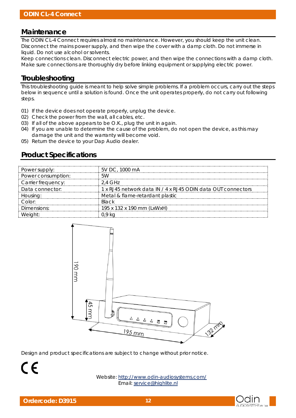## <span id="page-12-0"></span>**Maintenance**

The ODIN CL-4 Connect requires almost no maintenance. However, you should keep the unit clean. Disconnect the mains power supply, and then wipe the cover with a damp cloth. Do not immerse in liquid. Do not use alcohol or solvents.

Keep connections clean. Disconnect electric power, and then wipe the connections with a damp cloth. Make sure connections are thoroughly dry before linking equipment or supplying electric power.

## <span id="page-12-1"></span>**Troubleshooting**

This troubleshooting guide is meant to help solve simple problems. If a problem occurs, carry out the steps below in sequence until a solution is found. Once the unit operates properly, do not carry out following steps.

- 01) If the device does not operate properly, unplug the device.
- 02) Check the power from the wall, all cables, etc.
- 03) If all of the above appears to be O.K., plug the unit in again.
- 04) If you are unable to determine the cause of the problem, do not open the device, as this may damage the unit and the warranty will become void.
- 05) Return the device to your Dap Audio dealer.

## <span id="page-12-2"></span>**Product Specifications**

| Power supply:      | 5V DC, 1000 mA                                               |
|--------------------|--------------------------------------------------------------|
| Power consumption: | 51N                                                          |
| Carrier frequency: | $24$ GHz                                                     |
| Data connector:    | 1 x RJ45 network data IN / 4 x RJ45 ODIN data OUT connectors |
| ousina:            | Metal & flame-retardant plastic                              |
|                    | <b>Black</b>                                                 |
| Dimensions:        | 195 x 132 x 190 mm (LxWxH)                                   |
|                    |                                                              |



Design and product specifications are subject to change without prior notice.

 $\epsilon$ 

Website:<http://www.odin-audiosystems.com/> Email: [service@highlite.nl](mailto:service@highlite.nl)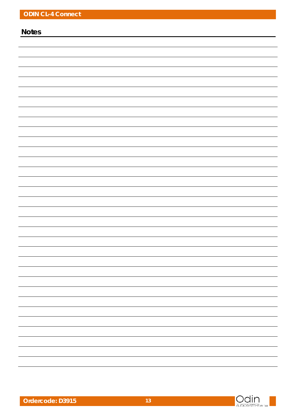<span id="page-13-0"></span>

| <b>ODIN CL-4 Connect</b> |
|--------------------------|
| <b>Notes</b>             |
|                          |
|                          |
|                          |
|                          |
|                          |
|                          |
|                          |
|                          |
|                          |
|                          |
|                          |
|                          |
|                          |
|                          |
|                          |
|                          |
|                          |
|                          |
|                          |
|                          |
|                          |
|                          |
|                          |
|                          |
|                          |
|                          |
|                          |
|                          |
|                          |
|                          |
|                          |
|                          |

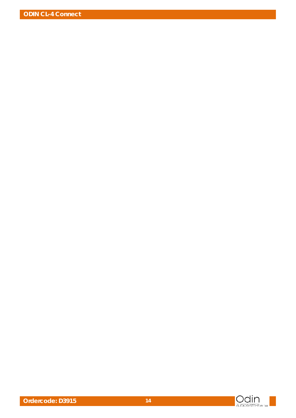